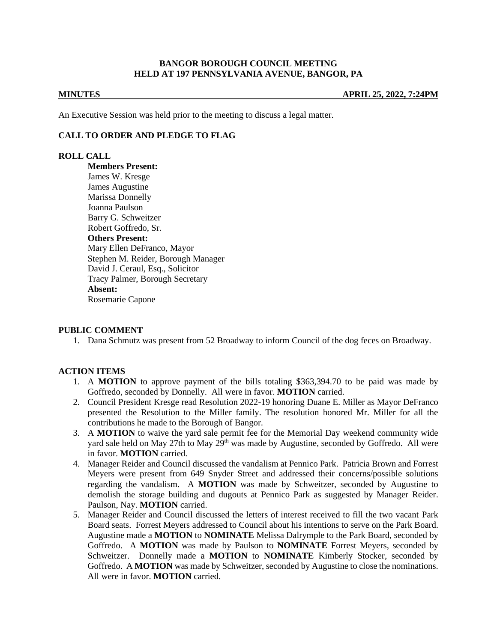### **BANGOR BOROUGH COUNCIL MEETING HELD AT 197 PENNSYLVANIA AVENUE, BANGOR, PA**

**MINUTES APRIL 25, 2022, 7:24PM**

An Executive Session was held prior to the meeting to discuss a legal matter.

# **CALL TO ORDER AND PLEDGE TO FLAG**

### **ROLL CALL**

**Members Present:** James W. Kresge James Augustine Marissa Donnelly Joanna Paulson Barry G. Schweitzer Robert Goffredo, Sr. **Others Present:** Mary Ellen DeFranco, Mayor Stephen M. Reider, Borough Manager David J. Ceraul, Esq., Solicitor Tracy Palmer, Borough Secretary **Absent:** Rosemarie Capone

### **PUBLIC COMMENT**

1. Dana Schmutz was present from 52 Broadway to inform Council of the dog feces on Broadway.

# **ACTION ITEMS**

- 1. A **MOTION** to approve payment of the bills totaling \$363,394.70 to be paid was made by Goffredo, seconded by Donnelly. All were in favor. **MOTION** carried.
- 2. Council President Kresge read Resolution 2022-19 honoring Duane E. Miller as Mayor DeFranco presented the Resolution to the Miller family. The resolution honored Mr. Miller for all the contributions he made to the Borough of Bangor.
- 3. A **MOTION** to waive the yard sale permit fee for the Memorial Day weekend community wide yard sale held on May 27th to May  $29<sup>th</sup>$  was made by Augustine, seconded by Goffredo. All were in favor. **MOTION** carried.
- 4. Manager Reider and Council discussed the vandalism at Pennico Park. Patricia Brown and Forrest Meyers were present from 649 Snyder Street and addressed their concerns/possible solutions regarding the vandalism. A **MOTION** was made by Schweitzer, seconded by Augustine to demolish the storage building and dugouts at Pennico Park as suggested by Manager Reider. Paulson, Nay. **MOTION** carried.
- 5. Manager Reider and Council discussed the letters of interest received to fill the two vacant Park Board seats. Forrest Meyers addressed to Council about his intentions to serve on the Park Board. Augustine made a **MOTION** to **NOMINATE** Melissa Dalrymple to the Park Board, seconded by Goffredo. A **MOTION** was made by Paulson to **NOMINATE** Forrest Meyers, seconded by Schweitzer. Donnelly made a **MOTION** to **NOMINATE** Kimberly Stocker, seconded by Goffredo. A **MOTION** was made by Schweitzer, seconded by Augustine to close the nominations. All were in favor. **MOTION** carried.